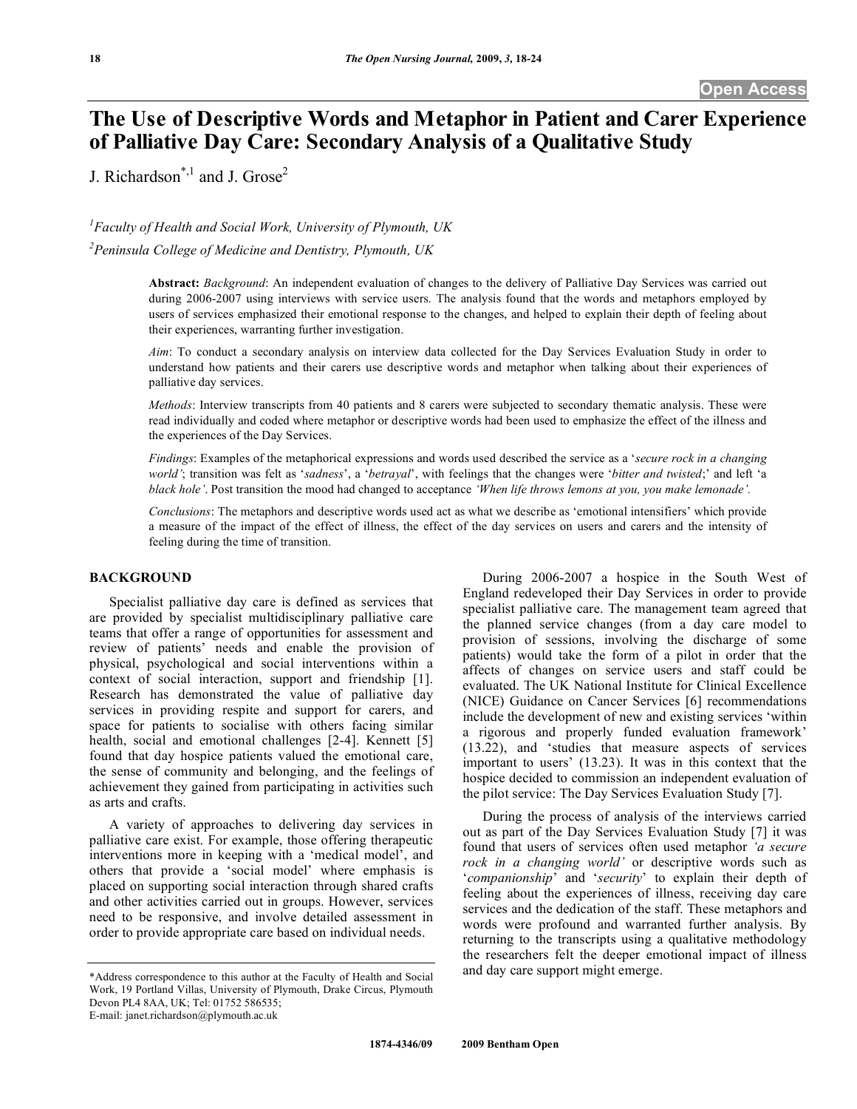# **The Use of Descriptive Words and Metaphor in Patient and Carer Experience of Palliative Day Care: Secondary Analysis of a Qualitative Study**

J. Richardson<sup>\*,1</sup> and J. Grose<sup>2</sup>

## *1 Faculty of Health and Social Work, University of Plymouth, UK*

*2 Peninsula College of Medicine and Dentistry, Plymouth, UK* 

**Abstract:** *Background*: An independent evaluation of changes to the delivery of Palliative Day Services was carried out during 2006-2007 using interviews with service users. The analysis found that the words and metaphors employed by users of services emphasized their emotional response to the changes, and helped to explain their depth of feeling about their experiences, warranting further investigation.

*Aim*: To conduct a secondary analysis on interview data collected for the Day Services Evaluation Study in order to understand how patients and their carers use descriptive words and metaphor when talking about their experiences of palliative day services.

*Methods*: Interview transcripts from 40 patients and 8 carers were subjected to secondary thematic analysis. These were read individually and coded where metaphor or descriptive words had been used to emphasize the effect of the illness and the experiences of the Day Services.

*Findings*: Examples of the metaphorical expressions and words used described the service as a '*secure rock in a changing world'*; transition was felt as '*sadness*', a '*betrayal*', with feelings that the changes were '*bitter and twisted*;' and left 'a *black hole'*. Post transition the mood had changed to acceptance *'When life throws lemons at you, you make lemonade'.*

*Conclusions*: The metaphors and descriptive words used act as what we describe as 'emotional intensifiers' which provide a measure of the impact of the effect of illness, the effect of the day services on users and carers and the intensity of feeling during the time of transition.

## **BACKGROUND**

 Specialist palliative day care is defined as services that are provided by specialist multidisciplinary palliative care teams that offer a range of opportunities for assessment and review of patients' needs and enable the provision of physical, psychological and social interventions within a context of social interaction, support and friendship [1]. Research has demonstrated the value of palliative day services in providing respite and support for carers, and space for patients to socialise with others facing similar health, social and emotional challenges [2-4]. Kennett [5] found that day hospice patients valued the emotional care, the sense of community and belonging, and the feelings of achievement they gained from participating in activities such as arts and crafts.

 A variety of approaches to delivering day services in palliative care exist. For example, those offering therapeutic interventions more in keeping with a 'medical model', and others that provide a 'social model' where emphasis is placed on supporting social interaction through shared crafts and other activities carried out in groups. However, services need to be responsive, and involve detailed assessment in order to provide appropriate care based on individual needs.

specialist palliative care. The management team agreed that the planned service changes (from a day care model to provision of sessions, involving the discharge of some patients) would take the form of a pilot in order that the affects of changes on service users and staff could be evaluated. The UK National Institute for Clinical Excellence (NICE) Guidance on Cancer Services [6] recommendations include the development of new and existing services 'within a rigorous and properly funded evaluation framework' (13.22), and 'studies that measure aspects of services important to users' (13.23). It was in this context that the hospice decided to commission an independent evaluation of the pilot service: The Day Services Evaluation Study [7].

 During 2006-2007 a hospice in the South West of England redeveloped their Day Services in order to provide

 During the process of analysis of the interviews carried out as part of the Day Services Evaluation Study [7] it was found that users of services often used metaphor *'a secure rock in a changing world'* or descriptive words such as '*companionship*' and '*security*' to explain their depth of feeling about the experiences of illness, receiving day care services and the dedication of the staff. These metaphors and words were profound and warranted further analysis. By returning to the transcripts using a qualitative methodology the researchers felt the deeper emotional impact of illness and day care support might emerge.

E-mail: janet.richardson@plymouth.ac.uk

<sup>\*</sup>Address correspondence to this author at the Faculty of Health and Social Work, 19 Portland Villas, University of Plymouth, Drake Circus, Plymouth Devon PL4 8AA, UK; Tel: 01752 586535;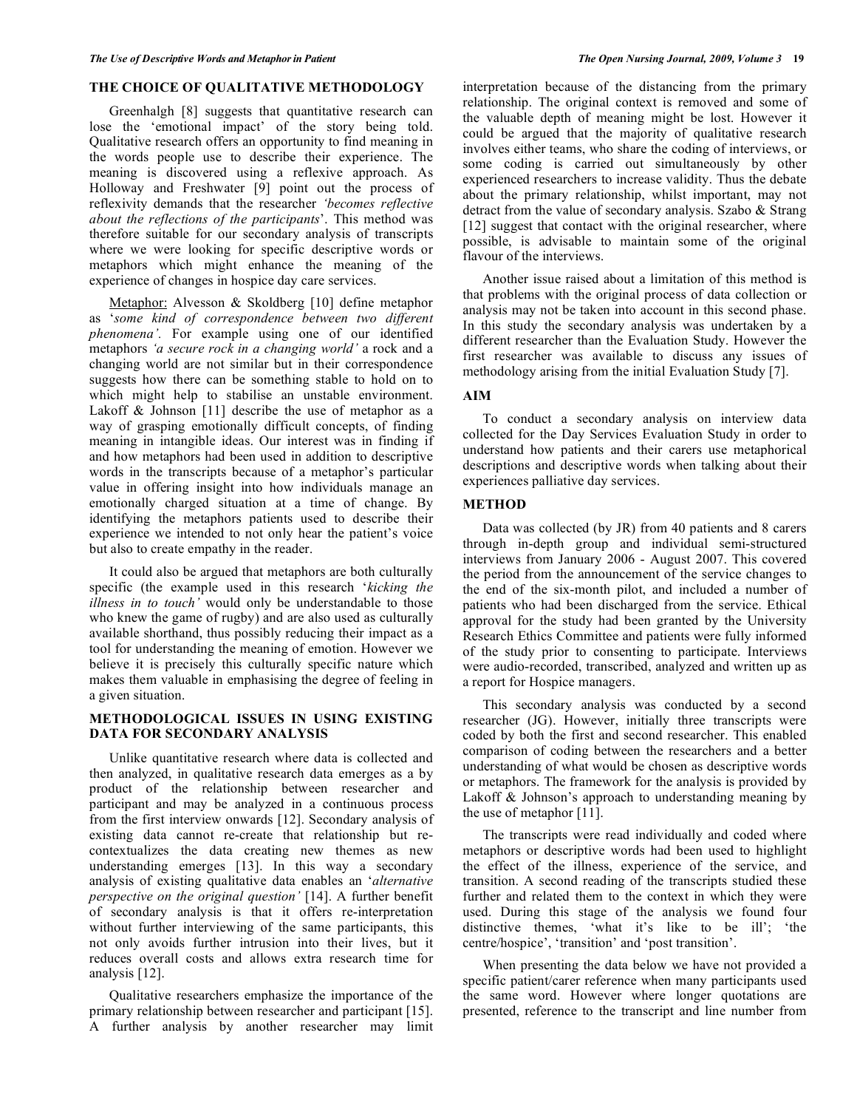## **THE CHOICE OF QUALITATIVE METHODOLOGY**

 Greenhalgh [8] suggests that quantitative research can lose the 'emotional impact' of the story being told. Qualitative research offers an opportunity to find meaning in the words people use to describe their experience. The meaning is discovered using a reflexive approach. As Holloway and Freshwater [9] point out the process of reflexivity demands that the researcher *'becomes reflective about the reflections of the participants*'. This method was therefore suitable for our secondary analysis of transcripts where we were looking for specific descriptive words or metaphors which might enhance the meaning of the experience of changes in hospice day care services.

 Metaphor: Alvesson & Skoldberg [10] define metaphor as '*some kind of correspondence between two different phenomena'.* For example using one of our identified metaphors *'a secure rock in a changing world'* a rock and a changing world are not similar but in their correspondence suggests how there can be something stable to hold on to which might help to stabilise an unstable environment. Lakoff & Johnson [11] describe the use of metaphor as a way of grasping emotionally difficult concepts, of finding meaning in intangible ideas. Our interest was in finding if and how metaphors had been used in addition to descriptive words in the transcripts because of a metaphor's particular value in offering insight into how individuals manage an emotionally charged situation at a time of change. By identifying the metaphors patients used to describe their experience we intended to not only hear the patient's voice but also to create empathy in the reader.

 It could also be argued that metaphors are both culturally specific (the example used in this research '*kicking the illness in to touch'* would only be understandable to those who knew the game of rugby) and are also used as culturally available shorthand, thus possibly reducing their impact as a tool for understanding the meaning of emotion. However we believe it is precisely this culturally specific nature which makes them valuable in emphasising the degree of feeling in a given situation.

## **METHODOLOGICAL ISSUES IN USING EXISTING DATA FOR SECONDARY ANALYSIS**

 Unlike quantitative research where data is collected and then analyzed, in qualitative research data emerges as a by product of the relationship between researcher and participant and may be analyzed in a continuous process from the first interview onwards [12]. Secondary analysis of existing data cannot re-create that relationship but recontextualizes the data creating new themes as new understanding emerges [13]. In this way a secondary analysis of existing qualitative data enables an '*alternative perspective on the original question'* [14]. A further benefit of secondary analysis is that it offers re-interpretation without further interviewing of the same participants, this not only avoids further intrusion into their lives, but it reduces overall costs and allows extra research time for analysis [12].

 Qualitative researchers emphasize the importance of the primary relationship between researcher and participant [15]. A further analysis by another researcher may limit interpretation because of the distancing from the primary relationship. The original context is removed and some of the valuable depth of meaning might be lost. However it could be argued that the majority of qualitative research involves either teams, who share the coding of interviews, or some coding is carried out simultaneously by other experienced researchers to increase validity. Thus the debate about the primary relationship, whilst important, may not detract from the value of secondary analysis. Szabo & Strang [12] suggest that contact with the original researcher, where possible, is advisable to maintain some of the original flavour of the interviews.

 Another issue raised about a limitation of this method is that problems with the original process of data collection or analysis may not be taken into account in this second phase. In this study the secondary analysis was undertaken by a different researcher than the Evaluation Study. However the first researcher was available to discuss any issues of methodology arising from the initial Evaluation Study [7].

## **AIM**

 To conduct a secondary analysis on interview data collected for the Day Services Evaluation Study in order to understand how patients and their carers use metaphorical descriptions and descriptive words when talking about their experiences palliative day services.

## **METHOD**

 Data was collected (by JR) from 40 patients and 8 carers through in-depth group and individual semi-structured interviews from January 2006 - August 2007. This covered the period from the announcement of the service changes to the end of the six-month pilot, and included a number of patients who had been discharged from the service. Ethical approval for the study had been granted by the University Research Ethics Committee and patients were fully informed of the study prior to consenting to participate. Interviews were audio-recorded, transcribed, analyzed and written up as a report for Hospice managers.

 This secondary analysis was conducted by a second researcher (JG). However, initially three transcripts were coded by both the first and second researcher. This enabled comparison of coding between the researchers and a better understanding of what would be chosen as descriptive words or metaphors. The framework for the analysis is provided by Lakoff & Johnson's approach to understanding meaning by the use of metaphor [11].

 The transcripts were read individually and coded where metaphors or descriptive words had been used to highlight the effect of the illness, experience of the service, and transition. A second reading of the transcripts studied these further and related them to the context in which they were used. During this stage of the analysis we found four distinctive themes, 'what it's like to be ill'; 'the centre/hospice', 'transition' and 'post transition'.

 When presenting the data below we have not provided a specific patient/carer reference when many participants used the same word. However where longer quotations are presented, reference to the transcript and line number from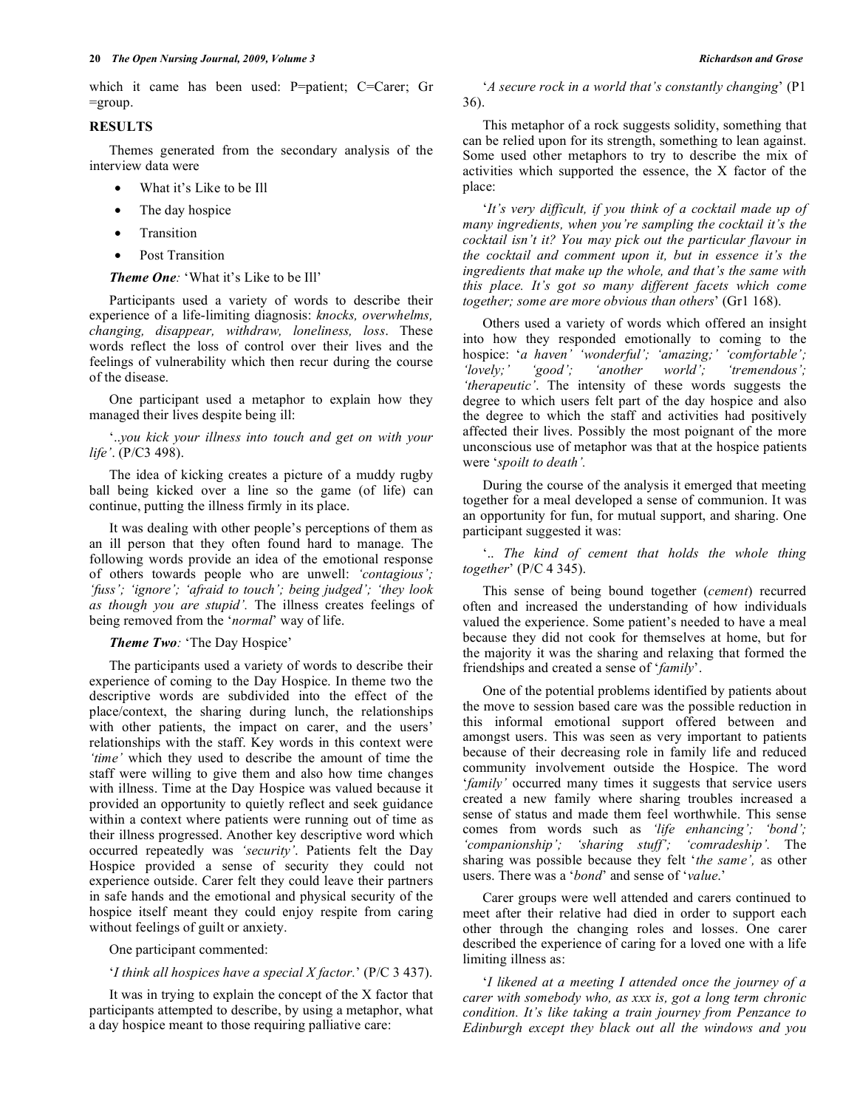which it came has been used: P=patient; C=Carer; Gr  $=$ group.

## **RESULTS**

 Themes generated from the secondary analysis of the interview data were

- What it's Like to be Ill
- The day hospice
- **Transition**
- Post Transition

## *Theme One:* 'What it's Like to be Ill'

 Participants used a variety of words to describe their experience of a life-limiting diagnosis: *knocks, overwhelms, changing, disappear, withdraw, loneliness, loss*. These words reflect the loss of control over their lives and the feelings of vulnerability which then recur during the course of the disease.

 One participant used a metaphor to explain how they managed their lives despite being ill:

 '..*you kick your illness into touch and get on with your life'*. (P/C3 498).

 The idea of kicking creates a picture of a muddy rugby ball being kicked over a line so the game (of life) can continue, putting the illness firmly in its place.

 It was dealing with other people's perceptions of them as an ill person that they often found hard to manage. The following words provide an idea of the emotional response of others towards people who are unwell: *'contagious'; 'fuss'; 'ignore'; 'afraid to touch'; being judged'; 'they look as though you are stupid'.* The illness creates feelings of being removed from the '*normal*' way of life.

 *Theme Two:* 'The Day Hospice'

 The participants used a variety of words to describe their experience of coming to the Day Hospice. In theme two the descriptive words are subdivided into the effect of the place/context, the sharing during lunch, the relationships with other patients, the impact on carer, and the users' relationships with the staff. Key words in this context were *'time'* which they used to describe the amount of time the staff were willing to give them and also how time changes with illness. Time at the Day Hospice was valued because it provided an opportunity to quietly reflect and seek guidance within a context where patients were running out of time as their illness progressed. Another key descriptive word which occurred repeatedly was *'security'*. Patients felt the Day Hospice provided a sense of security they could not experience outside. Carer felt they could leave their partners in safe hands and the emotional and physical security of the hospice itself meant they could enjoy respite from caring without feelings of guilt or anxiety.

One participant commented:

'*I think all hospices have a special X factor.*' (P/C 3 437).

 It was in trying to explain the concept of the X factor that participants attempted to describe, by using a metaphor, what a day hospice meant to those requiring palliative care:

 '*A secure rock in a world that's constantly changing*' (P1 36).

 This metaphor of a rock suggests solidity, something that can be relied upon for its strength, something to lean against. Some used other metaphors to try to describe the mix of activities which supported the essence, the X factor of the place:

 '*It's very difficult, if you think of a cocktail made up of many ingredients, when you're sampling the cocktail it's the cocktail isn't it? You may pick out the particular flavour in the cocktail and comment upon it, but in essence it's the ingredients that make up the whole, and that's the same with this place. It's got so many different facets which come together; some are more obvious than others*' (Gr1 168).

 Others used a variety of words which offered an insight into how they responded emotionally to coming to the hospice: '*a haven' 'wonderful'; 'amazing;' 'comfortable'; 'lovely;' 'good'; 'another world'; 'tremendous'; 'therapeutic'*. The intensity of these words suggests the degree to which users felt part of the day hospice and also the degree to which the staff and activities had positively affected their lives. Possibly the most poignant of the more unconscious use of metaphor was that at the hospice patients were '*spoilt to death'.*

 During the course of the analysis it emerged that meeting together for a meal developed a sense of communion. It was an opportunity for fun, for mutual support, and sharing. One participant suggested it was:

 '.. *The kind of cement that holds the whole thing together*' (P/C 4 345).

 This sense of being bound together (*cement*) recurred often and increased the understanding of how individuals valued the experience. Some patient's needed to have a meal because they did not cook for themselves at home, but for the majority it was the sharing and relaxing that formed the friendships and created a sense of '*family*'.

 One of the potential problems identified by patients about the move to session based care was the possible reduction in this informal emotional support offered between and amongst users. This was seen as very important to patients because of their decreasing role in family life and reduced community involvement outside the Hospice. The word '*family'* occurred many times it suggests that service users created a new family where sharing troubles increased a sense of status and made them feel worthwhile. This sense comes from words such as *'life enhancing'; 'bond'; 'companionship'; 'sharing stuff'; 'comradeship'.* The sharing was possible because they felt '*the same',* as other users. There was a '*bond*' and sense of '*value*.'

 Carer groups were well attended and carers continued to meet after their relative had died in order to support each other through the changing roles and losses. One carer described the experience of caring for a loved one with a life limiting illness as:

 '*I likened at a meeting I attended once the journey of a carer with somebody who, as xxx is, got a long term chronic condition. It's like taking a train journey from Penzance to Edinburgh except they black out all the windows and you*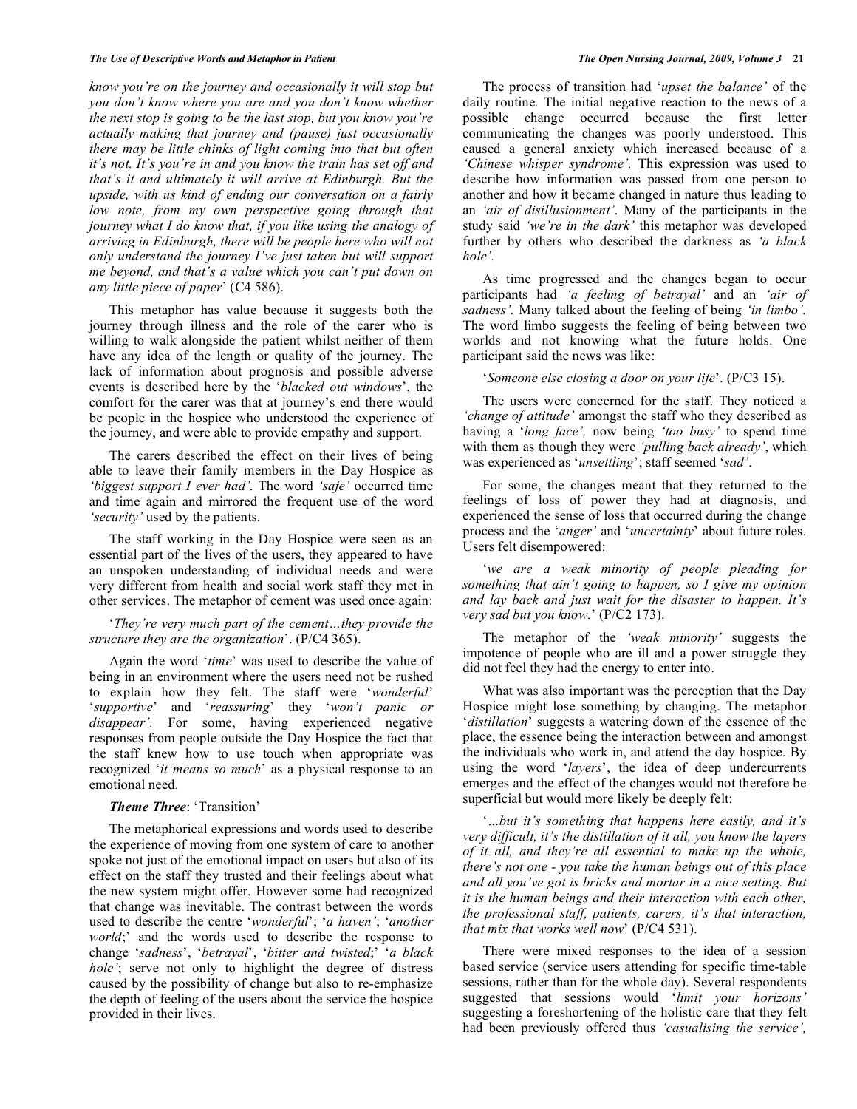#### *The Use of Descriptive Words and Metaphor in Patient The Open Nursing Journal, 2009, Volume 3* **21**

*know you're on the journey and occasionally it will stop but you don't know where you are and you don't know whether the next stop is going to be the last stop, but you know you're actually making that journey and (pause) just occasionally there may be little chinks of light coming into that but often it's not. It's you're in and you know the train has set off and that's it and ultimately it will arrive at Edinburgh. But the upside, with us kind of ending our conversation on a fairly low note, from my own perspective going through that journey what I do know that, if you like using the analogy of arriving in Edinburgh, there will be people here who will not only understand the journey I've just taken but will support me beyond, and that's a value which you can't put down on any little piece of paper*' (C4 586).

 This metaphor has value because it suggests both the journey through illness and the role of the carer who is willing to walk alongside the patient whilst neither of them have any idea of the length or quality of the journey. The lack of information about prognosis and possible adverse events is described here by the '*blacked out windows*', the comfort for the carer was that at journey's end there would be people in the hospice who understood the experience of the journey, and were able to provide empathy and support.

 The carers described the effect on their lives of being able to leave their family members in the Day Hospice as *'biggest support I ever had'.* The word *'safe'* occurred time and time again and mirrored the frequent use of the word *'security'* used by the patients.

 The staff working in the Day Hospice were seen as an essential part of the lives of the users, they appeared to have an unspoken understanding of individual needs and were very different from health and social work staff they met in other services. The metaphor of cement was used once again:

 '*They're very much part of the cement…they provide the structure they are the organization*'. (P/C4 365).

 Again the word '*time*' was used to describe the value of being in an environment where the users need not be rushed to explain how they felt. The staff were '*wonderful*' '*supportive*' and '*reassuring*' they '*won't panic or*  disappear'. For some, having experienced negative responses from people outside the Day Hospice the fact that the staff knew how to use touch when appropriate was recognized '*it means so much*' as a physical response to an emotional need.

## *Theme Three*: 'Transition'

 The metaphorical expressions and words used to describe the experience of moving from one system of care to another spoke not just of the emotional impact on users but also of its effect on the staff they trusted and their feelings about what the new system might offer. However some had recognized that change was inevitable. The contrast between the words used to describe the centre '*wonderful*'; '*a haven'*; '*another world*;' and the words used to describe the response to change '*sadness*', '*betrayal*', '*bitter and twisted*;' '*a black hole'*; serve not only to highlight the degree of distress caused by the possibility of change but also to re-emphasize the depth of feeling of the users about the service the hospice provided in their lives.

 The process of transition had '*upset the balance'* of the daily routine*.* The initial negative reaction to the news of a possible change occurred because the first letter communicating the changes was poorly understood. This caused a general anxiety which increased because of a *'Chinese whisper syndrome'.* This expression was used to describe how information was passed from one person to another and how it became changed in nature thus leading to an *'air of disillusionment'*. Many of the participants in the study said *'we're in the dark'* this metaphor was developed further by others who described the darkness as *'a black hole'.* 

 As time progressed and the changes began to occur participants had *'a feeling of betrayal'* and an *'air of sadness'.* Many talked about the feeling of being *'in limbo'.*  The word limbo suggests the feeling of being between two worlds and not knowing what the future holds. One participant said the news was like:

'*Someone else closing a door on your life*'. (P/C3 15).

 The users were concerned for the staff. They noticed a *'change of attitude'* amongst the staff who they described as having a '*long face',* now being *'too busy'* to spend time with them as though they were *'pulling back already'*, which was experienced as '*unsettling*'; staff seemed '*sad'*.

 For some, the changes meant that they returned to the feelings of loss of power they had at diagnosis, and experienced the sense of loss that occurred during the change process and the '*anger'* and '*uncertainty*' about future roles. Users felt disempowered:

 '*we are a weak minority of people pleading for something that ain't going to happen, so I give my opinion and lay back and just wait for the disaster to happen. It's very sad but you know.*' (P/C2 173).

 The metaphor of the *'weak minority'* suggests the impotence of people who are ill and a power struggle they did not feel they had the energy to enter into.

 What was also important was the perception that the Day Hospice might lose something by changing. The metaphor '*distillation*' suggests a watering down of the essence of the place, the essence being the interaction between and amongst the individuals who work in, and attend the day hospice. By using the word '*layers*', the idea of deep undercurrents emerges and the effect of the changes would not therefore be superficial but would more likely be deeply felt:

 '*…but it's something that happens here easily, and it's very difficult, it's the distillation of it all, you know the layers of it all, and they're all essential to make up the whole, there's not one - you take the human beings out of this place and all you've got is bricks and mortar in a nice setting. But it is the human beings and their interaction with each other, the professional staff, patients, carers, it's that interaction, that mix that works well now*' (P/C4 531).

 There were mixed responses to the idea of a session based service (service users attending for specific time-table sessions, rather than for the whole day). Several respondents suggested that sessions would '*limit your horizons'*  suggesting a foreshortening of the holistic care that they felt had been previously offered thus *'casualising the service',*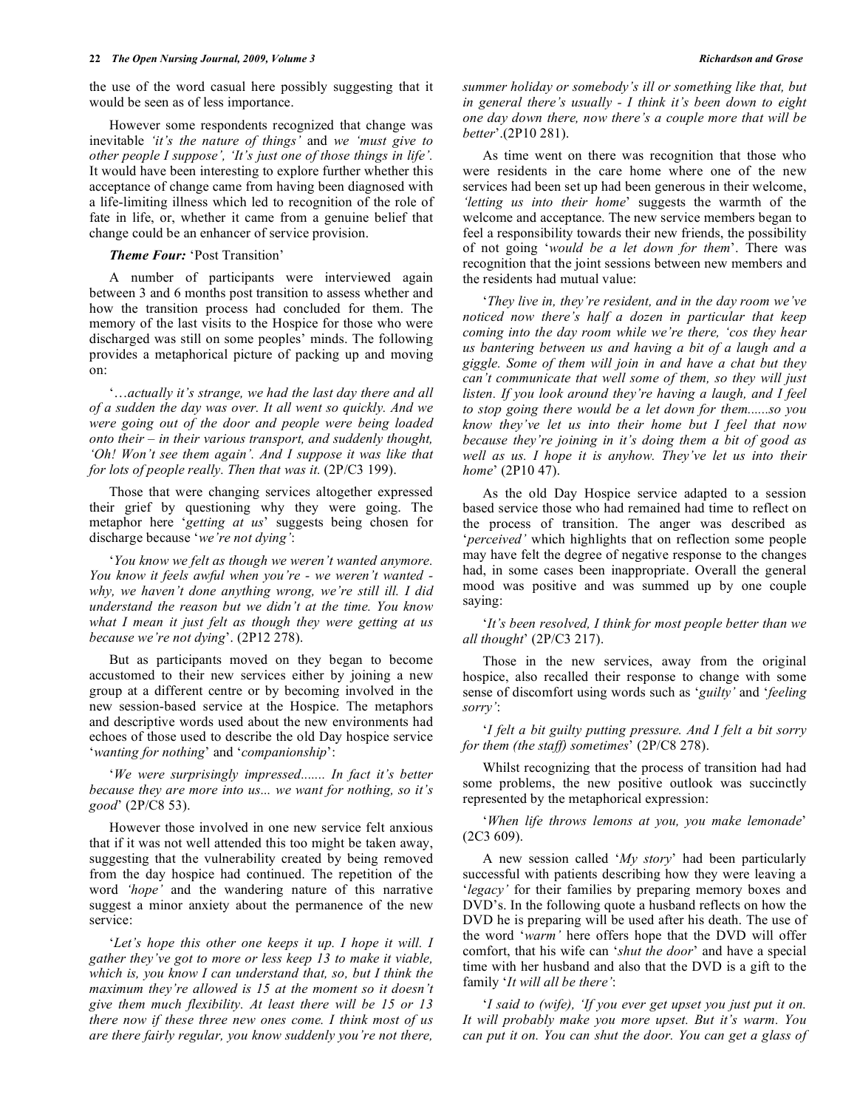the use of the word casual here possibly suggesting that it would be seen as of less importance.

 However some respondents recognized that change was inevitable *'it's the nature of things'* and *we 'must give to other people I suppose', 'It's just one of those things in life'.*  It would have been interesting to explore further whether this acceptance of change came from having been diagnosed with a life-limiting illness which led to recognition of the role of fate in life, or, whether it came from a genuine belief that change could be an enhancer of service provision.

 *Theme Four:* 'Post Transition'

 A number of participants were interviewed again between 3 and 6 months post transition to assess whether and how the transition process had concluded for them. The memory of the last visits to the Hospice for those who were discharged was still on some peoples' minds. The following provides a metaphorical picture of packing up and moving on:

 '…*actually it's strange, we had the last day there and all of a sudden the day was over. It all went so quickly. And we were going out of the door and people were being loaded onto their – in their various transport, and suddenly thought, 'Oh! Won't see them again'. And I suppose it was like that for lots of people really. Then that was it.* (2P/C3 199).

 Those that were changing services altogether expressed their grief by questioning why they were going. The metaphor here '*getting at us*' suggests being chosen for discharge because '*we're not dying'*:

 '*You know we felt as though we weren't wanted anymore. You know it feels awful when you're - we weren't wanted why, we haven't done anything wrong, we're still ill. I did understand the reason but we didn't at the time. You know what I mean it just felt as though they were getting at us because we're not dying*'. (2P12 278).

 But as participants moved on they began to become accustomed to their new services either by joining a new group at a different centre or by becoming involved in the new session-based service at the Hospice. The metaphors and descriptive words used about the new environments had echoes of those used to describe the old Day hospice service '*wanting for nothing*' and '*companionship*':

 '*We were surprisingly impressed....... In fact it's better because they are more into us... we want for nothing, so it's good*' (2P/C8 53).

 However those involved in one new service felt anxious that if it was not well attended this too might be taken away, suggesting that the vulnerability created by being removed from the day hospice had continued. The repetition of the word *'hope'* and the wandering nature of this narrative suggest a minor anxiety about the permanence of the new service:

 '*Let's hope this other one keeps it up. I hope it will. I gather they've got to more or less keep 13 to make it viable, which is, you know I can understand that, so, but I think the maximum they're allowed is 15 at the moment so it doesn't give them much flexibility. At least there will be 15 or 13 there now if these three new ones come. I think most of us are there fairly regular, you know suddenly you're not there,* 

*summer holiday or somebody's ill or something like that, but in general there's usually - I think it's been down to eight one day down there, now there's a couple more that will be better*'.(2P10 281).

 As time went on there was recognition that those who were residents in the care home where one of the new services had been set up had been generous in their welcome, *'letting us into their home*' suggests the warmth of the welcome and acceptance. The new service members began to feel a responsibility towards their new friends, the possibility of not going '*would be a let down for them*'. There was recognition that the joint sessions between new members and the residents had mutual value:

 '*They live in, they're resident, and in the day room we've noticed now there's half a dozen in particular that keep coming into the day room while we're there, 'cos they hear us bantering between us and having a bit of a laugh and a giggle. Some of them will join in and have a chat but they can't communicate that well some of them, so they will just listen. If you look around they're having a laugh, and I feel to stop going there would be a let down for them......so you know they've let us into their home but I feel that now because they're joining in it's doing them a bit of good as well as us. I hope it is anyhow. They've let us into their home*' (2P10 47).

 As the old Day Hospice service adapted to a session based service those who had remained had time to reflect on the process of transition. The anger was described as '*perceived'* which highlights that on reflection some people may have felt the degree of negative response to the changes had, in some cases been inappropriate. Overall the general mood was positive and was summed up by one couple saying:

 '*It's been resolved, I think for most people better than we all thought*' (2P/C3 217).

 Those in the new services, away from the original hospice, also recalled their response to change with some sense of discomfort using words such as '*guilty'* and '*feeling sorry'*:

 '*I felt a bit guilty putting pressure. And I felt a bit sorry for them (the staff) sometimes*' (2P/C8 278).

 Whilst recognizing that the process of transition had had some problems, the new positive outlook was succinctly represented by the metaphorical expression:

 '*When life throws lemons at you, you make lemonade*' (2C3 609).

 A new session called '*My story*' had been particularly successful with patients describing how they were leaving a '*legacy'* for their families by preparing memory boxes and DVD's. In the following quote a husband reflects on how the DVD he is preparing will be used after his death. The use of the word '*warm'* here offers hope that the DVD will offer comfort, that his wife can '*shut the door*' and have a special time with her husband and also that the DVD is a gift to the family '*It will all be there'*:

 '*I said to (wife), 'If you ever get upset you just put it on. It will probably make you more upset. But it's warm. You can put it on. You can shut the door. You can get a glass of*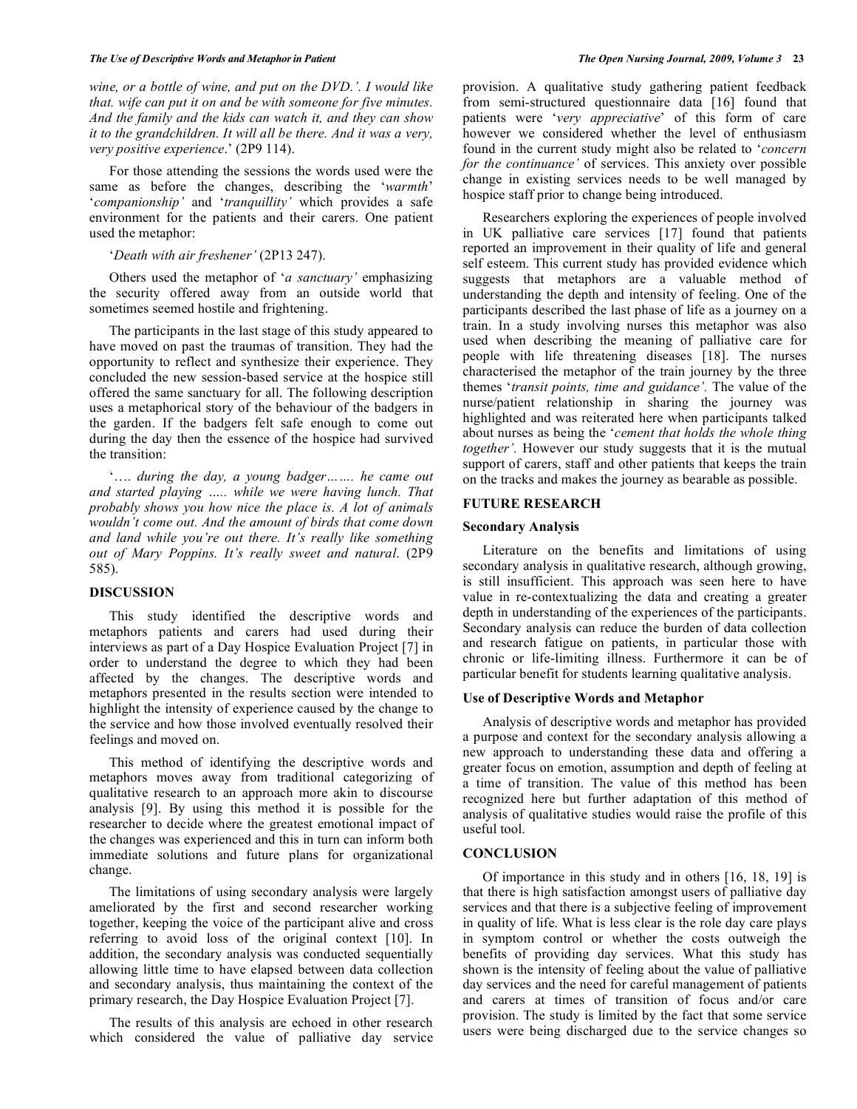*wine, or a bottle of wine, and put on the DVD.'. I would like that. wife can put it on and be with someone for five minutes. And the family and the kids can watch it, and they can show it to the grandchildren. It will all be there. And it was a very, very positive experience*.' (2P9 114).

 For those attending the sessions the words used were the same as before the changes, describing the '*warmth*' '*companionship'* and '*tranquillity'* which provides a safe environment for the patients and their carers. One patient used the metaphor:

## '*Death with air freshener'* (2P13 247).

 Others used the metaphor of '*a sanctuary'* emphasizing the security offered away from an outside world that sometimes seemed hostile and frightening.

 The participants in the last stage of this study appeared to have moved on past the traumas of transition. They had the opportunity to reflect and synthesize their experience. They concluded the new session-based service at the hospice still offered the same sanctuary for all. The following description uses a metaphorical story of the behaviour of the badgers in the garden. If the badgers felt safe enough to come out during the day then the essence of the hospice had survived the transition:

 '…. *during the day, a young badger……. he came out and started playing ….. while we were having lunch. That probably shows you how nice the place is. A lot of animals wouldn't come out. And the amount of birds that come down and land while you're out there. It's really like something out of Mary Poppins. It's really sweet and natural*. (2P9 585).

## **DISCUSSION**

 This study identified the descriptive words and metaphors patients and carers had used during their interviews as part of a Day Hospice Evaluation Project [7] in order to understand the degree to which they had been affected by the changes. The descriptive words and metaphors presented in the results section were intended to highlight the intensity of experience caused by the change to the service and how those involved eventually resolved their feelings and moved on.

 This method of identifying the descriptive words and metaphors moves away from traditional categorizing of qualitative research to an approach more akin to discourse analysis [9]. By using this method it is possible for the researcher to decide where the greatest emotional impact of the changes was experienced and this in turn can inform both immediate solutions and future plans for organizational change.

 The limitations of using secondary analysis were largely ameliorated by the first and second researcher working together, keeping the voice of the participant alive and cross referring to avoid loss of the original context [10]. In addition, the secondary analysis was conducted sequentially allowing little time to have elapsed between data collection and secondary analysis, thus maintaining the context of the primary research, the Day Hospice Evaluation Project [7].

 The results of this analysis are echoed in other research which considered the value of palliative day service

provision. A qualitative study gathering patient feedback from semi-structured questionnaire data [16] found that patients were '*very appreciative*' of this form of care however we considered whether the level of enthusiasm found in the current study might also be related to '*concern for the continuance'* of services. This anxiety over possible change in existing services needs to be well managed by hospice staff prior to change being introduced.

 Researchers exploring the experiences of people involved in UK palliative care services [17] found that patients reported an improvement in their quality of life and general self esteem. This current study has provided evidence which suggests that metaphors are a valuable method of understanding the depth and intensity of feeling. One of the participants described the last phase of life as a journey on a train. In a study involving nurses this metaphor was also used when describing the meaning of palliative care for people with life threatening diseases [18]. The nurses characterised the metaphor of the train journey by the three themes '*transit points, time and guidance'.* The value of the nurse/patient relationship in sharing the journey was highlighted and was reiterated here when participants talked about nurses as being the '*cement that holds the whole thing together'.* However our study suggests that it is the mutual support of carers, staff and other patients that keeps the train on the tracks and makes the journey as bearable as possible.

## **FUTURE RESEARCH**

#### **Secondary Analysis**

 Literature on the benefits and limitations of using secondary analysis in qualitative research, although growing, is still insufficient. This approach was seen here to have value in re-contextualizing the data and creating a greater depth in understanding of the experiences of the participants. Secondary analysis can reduce the burden of data collection and research fatigue on patients, in particular those with chronic or life-limiting illness. Furthermore it can be of particular benefit for students learning qualitative analysis.

#### **Use of Descriptive Words and Metaphor**

 Analysis of descriptive words and metaphor has provided a purpose and context for the secondary analysis allowing a new approach to understanding these data and offering a greater focus on emotion, assumption and depth of feeling at a time of transition. The value of this method has been recognized here but further adaptation of this method of analysis of qualitative studies would raise the profile of this useful tool.

## **CONCLUSION**

 Of importance in this study and in others [16, 18, 19] is that there is high satisfaction amongst users of palliative day services and that there is a subjective feeling of improvement in quality of life. What is less clear is the role day care plays in symptom control or whether the costs outweigh the benefits of providing day services. What this study has shown is the intensity of feeling about the value of palliative day services and the need for careful management of patients and carers at times of transition of focus and/or care provision. The study is limited by the fact that some service users were being discharged due to the service changes so